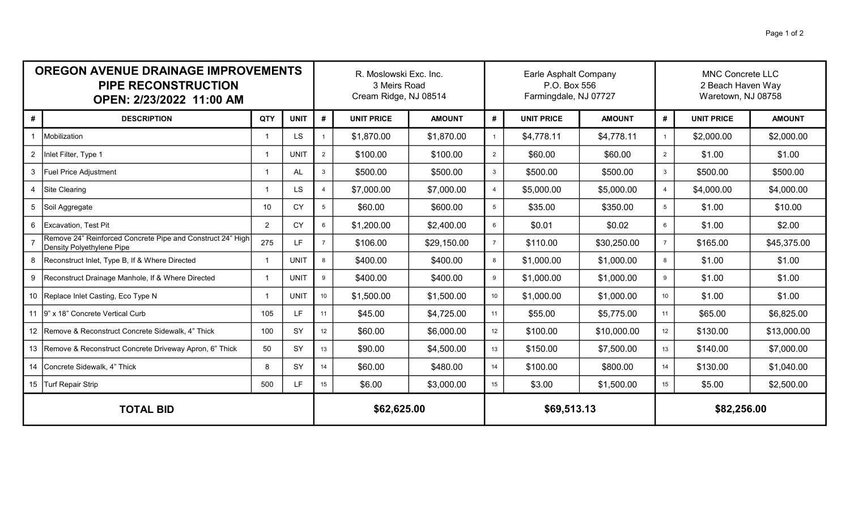| <b>OREGON AVENUE DRAINAGE IMPROVEMENTS</b><br><b>PIPE RECONSTRUCTION</b><br>OPEN: 2/23/2022 11:00 AM |                                                                                         |                          |             |                 | R. Moslowski Exc. Inc.<br>3 Meirs Road<br>Cream Ridge, NJ 08514 |               |                  | Earle Asphalt Company<br>P.O. Box 556<br>Farmingdale, NJ 07727 |               |                | <b>MNC Concrete LLC</b><br>2 Beach Haven Way<br>Waretown, NJ 08758 |               |  |
|------------------------------------------------------------------------------------------------------|-----------------------------------------------------------------------------------------|--------------------------|-------------|-----------------|-----------------------------------------------------------------|---------------|------------------|----------------------------------------------------------------|---------------|----------------|--------------------------------------------------------------------|---------------|--|
| #                                                                                                    | <b>DESCRIPTION</b>                                                                      | QTY                      | <b>UNIT</b> | #               | <b>UNIT PRICE</b>                                               | <b>AMOUNT</b> | #                | <b>UNIT PRICE</b>                                              | <b>AMOUNT</b> | #              | <b>UNIT PRICE</b>                                                  | <b>AMOUNT</b> |  |
|                                                                                                      | Mobilization                                                                            |                          | <b>LS</b>   |                 | \$1,870.00                                                      | \$1,870.00    | $\mathbf{1}$     | \$4,778.11                                                     | \$4,778.11    | $\overline{1}$ | \$2,000.00                                                         | \$2,000.00    |  |
|                                                                                                      | 2   Inlet Filter, Type 1                                                                |                          | <b>UNIT</b> | $\overline{2}$  | \$100.00                                                        | \$100.00      | $\overline{2}$   | \$60.00                                                        | \$60.00       | 2              | \$1.00                                                             | \$1.00        |  |
| 3                                                                                                    | <b>Fuel Price Adjustment</b>                                                            |                          | AL          | 3               | \$500.00                                                        | \$500.00      | $\mathbf{3}$     | \$500.00                                                       | \$500.00      | $\mathbf{3}$   | \$500.00                                                           | \$500.00      |  |
| $\overline{4}$                                                                                       | Site Clearing                                                                           |                          | <b>LS</b>   | $\overline{4}$  | \$7,000.00                                                      | \$7,000.00    | $\overline{4}$   | \$5,000.00                                                     | \$5,000.00    | $\overline{4}$ | \$4,000.00                                                         | \$4,000.00    |  |
|                                                                                                      | Soil Aggregate                                                                          | 10                       | <b>CY</b>   | $5\overline{)}$ | \$60.00                                                         | \$600.00      | $5\overline{)}$  | \$35.00                                                        | \$350.00      | 5              | \$1.00                                                             | \$10.00       |  |
| 6                                                                                                    | Excavation, Test Pit                                                                    | 2                        | <b>CY</b>   | 6               | \$1,200.00                                                      | \$2,400.00    | 6                | \$0.01                                                         | \$0.02        | 6              | \$1.00                                                             | \$2.00        |  |
|                                                                                                      | Remove 24" Reinforced Concrete Pipe and Construct 24" High<br>Density Polyethylene Pipe | 275                      | <b>LF</b>   | $\overline{7}$  | \$106.00                                                        | \$29,150.00   | $\overline{7}$   | \$110.00                                                       | \$30,250.00   | $\overline{7}$ | \$165.00                                                           | \$45,375.00   |  |
| 8                                                                                                    | Reconstruct Inlet, Type B, If & Where Directed                                          |                          | <b>UNIT</b> | 8               | \$400.00                                                        | \$400.00      | 8                | \$1,000.00                                                     | \$1,000.00    | 8              | \$1.00                                                             | \$1.00        |  |
|                                                                                                      | 9   Reconstruct Drainage Manhole, If & Where Directed                                   | $\overline{\phantom{a}}$ | <b>UNIT</b> | 9               | \$400.00                                                        | \$400.00      | 9                | \$1,000.00                                                     | \$1,000.00    | 9              | \$1.00                                                             | \$1.00        |  |
|                                                                                                      | 10 Replace Inlet Casting, Eco Type N                                                    | -1                       | <b>UNIT</b> | 10 <sup>1</sup> | \$1,500.00                                                      | \$1,500.00    | 10 <sup>1</sup>  | \$1,000.00                                                     | \$1,000.00    | 10             | \$1.00                                                             | \$1.00        |  |
|                                                                                                      | 11 9" x 18" Concrete Vertical Curb                                                      | 105                      | LF          | 11              | \$45.00                                                         | \$4,725.00    | 11               | \$55.00                                                        | \$5,775.00    | 11             | \$65.00                                                            | \$6,825.00    |  |
|                                                                                                      | 12   Remove & Reconstruct Concrete Sidewalk, 4" Thick                                   | 100                      | SY          | 12              | \$60.00                                                         | \$6,000.00    | 12 <sup>12</sup> | \$100.00                                                       | \$10,000.00   | 12             | \$130.00                                                           | \$13,000.00   |  |
|                                                                                                      | 13   Remove & Reconstruct Concrete Driveway Apron, 6" Thick                             | 50                       | SY          | 13              | \$90.00                                                         | \$4,500.00    | 13               | \$150.00                                                       | \$7,500.00    | 13             | \$140.00                                                           | \$7,000.00    |  |
|                                                                                                      | 14 Concrete Sidewalk, 4" Thick                                                          | 8                        | SY          | 14              | \$60.00                                                         | \$480.00      | 14               | \$100.00                                                       | \$800.00      | 14             | \$130.00                                                           | \$1,040.00    |  |
|                                                                                                      | 15 Turf Repair Strip                                                                    | 500                      | LF          | 15              | \$6.00                                                          | \$3,000.00    | 15               | \$3.00                                                         | \$1,500.00    | 15             | \$5.00                                                             | \$2,500.00    |  |
| <b>TOTAL BID</b>                                                                                     |                                                                                         |                          |             |                 | \$62,625.00                                                     |               |                  | \$69,513.13                                                    |               |                | \$82,256.00                                                        |               |  |